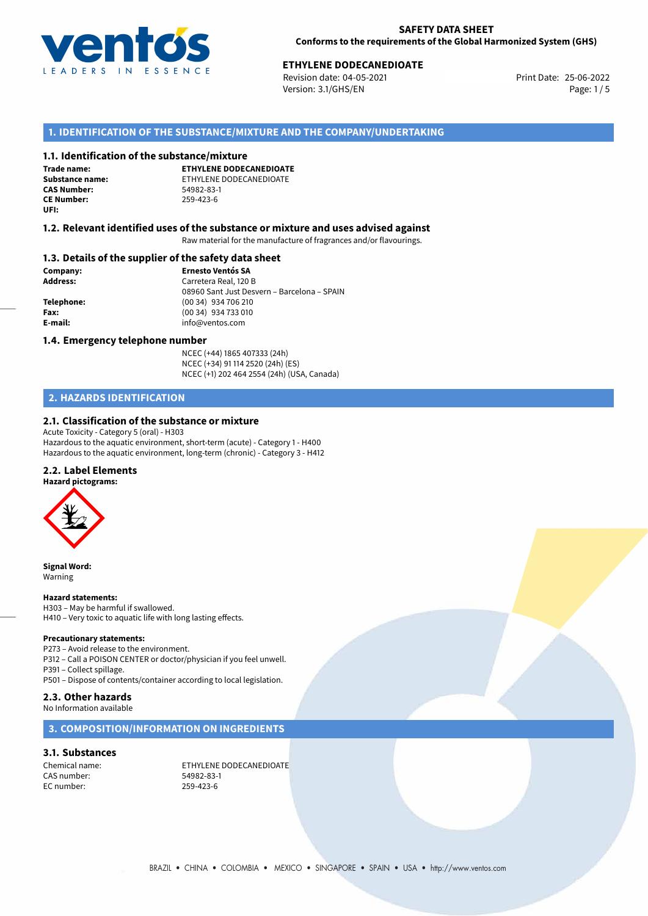

# **ETHYLENE DODECANEDIOATE**<br>
Revision date: 04-05-2021<br> **Print Date: 25-06-2022**

Revision date: 04-05-2021 Version: 3.1/GHS/EN Page: 1 / 5

## **1. IDENTIFICATION OF THE SUBSTANCE/MIXTURE AND THE COMPANY/UNDERTAKING**

#### **1.1. Identification of the substance/mixture**

**Trade name: CAS Number: CE Number:** 259-423-6 **UFI:**

**ETHYLENE DODECANEDIOATE Substance name:** ETHYLENE DODECANEDIOATE

#### **1.2. Relevant identified uses of the substance or mixture and uses advised against**

Raw material for the manufacture of fragrances and/or flavourings.

### **1.3. Details of the supplier of the safety data sheet**

**Company: Ernesto Ventós SA Address:** Carretera Real, 120 B 08960 Sant Just Desvern – Barcelona – SPAIN **Telephone:** (00 34) 934 706 210 **Fax:** (00 34) 934 733 010 **E-mail:** info@ventos.com

#### **1.4. Emergency telephone number**

NCEC (+44) 1865 407333 (24h) NCEC (+34) 91 114 2520 (24h) (ES) NCEC (+1) 202 464 2554 (24h) (USA, Canada)

## **2. HAZARDS IDENTIFICATION**

## **2.1. Classification of the substance or mixture**

Acute Toxicity - Category 5 (oral) - H303 Hazardous to the aquatic environment, short-term (acute) - Category 1 - H400 Hazardous to the aquatic environment, long-term (chronic) - Category 3 - H412

## **2.2. Label Elements**

**Hazard pictograms:**



**Signal Word:** Warning

#### **Hazard statements:**

H303 – May be harmful if swallowed. H410 – Very toxic to aquatic life with long lasting effects.

#### **Precautionary statements:**

P273 – Avoid release to the environment. P312 – Call a POISON CENTER or doctor/physician if you feel unwell. P391 – Collect spillage. P501 – Dispose of contents/container according to local legislation.

## **2.3. Other hazards**

No Information available

## **3. COMPOSITION/INFORMATION ON INGREDIENTS**

#### **3.1. Substances**

CAS number: 54982-83-1 EC number: 259-423-6

Chemical name: ETHYLENE DODECANEDIOATE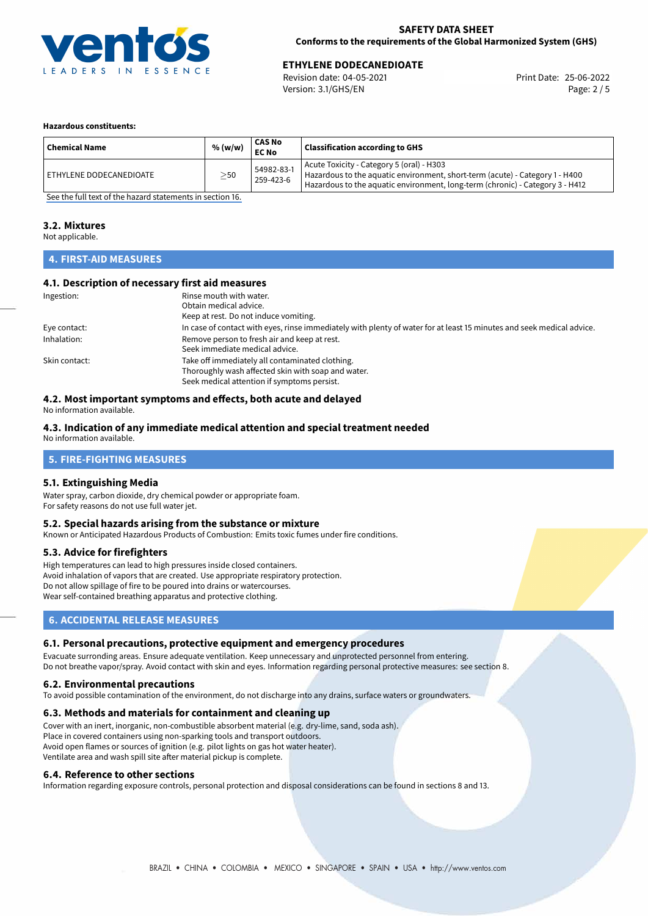

# **ETHYLENE DODECANEDIOATE**<br>
Revision date: 04-05-2021<br> **Print Date: 25-06-2022**

Revision date: 04-05-2021 Version: 3.1/GHS/EN Page: 2 / 5

#### **Hazardous constituents:**

| <b>Chemical Name</b>    | % (w/w)   | <b>CAS No</b><br><b>EC No</b> | <b>Classification according to GHS</b>                                                                                                                                                                     |
|-------------------------|-----------|-------------------------------|------------------------------------------------------------------------------------------------------------------------------------------------------------------------------------------------------------|
| ETHYLENE DODECANEDIOATE | $\geq$ 50 | 54982-83-1<br>259-423-6       | Acute Toxicity - Category 5 (oral) - H303<br>Hazardous to the aquatic environment, short-term (acute) - Category 1 - H400<br>Hazardous to the aquatic environment, long-term (chronic) - Category 3 - H412 |

[See the full text of the hazard statements in section 16.](#page-4-0)

#### **3.2. Mixtures**

Not applicable.

## **4. FIRST-AID MEASURES**

## **4.1. Description of necessary first aid measures**

| Ingestion:    | Rinse mouth with water.                                                                                               |  |  |
|---------------|-----------------------------------------------------------------------------------------------------------------------|--|--|
|               | Obtain medical advice.                                                                                                |  |  |
|               | Keep at rest. Do not induce vomiting.                                                                                 |  |  |
| Eye contact:  | In case of contact with eyes, rinse immediately with plenty of water for at least 15 minutes and seek medical advice. |  |  |
| Inhalation:   | Remove person to fresh air and keep at rest.                                                                          |  |  |
|               | Seek immediate medical advice.                                                                                        |  |  |
| Skin contact: | Take off immediately all contaminated clothing.                                                                       |  |  |
|               | Thoroughly wash affected skin with soap and water.                                                                    |  |  |
|               | Seek medical attention if symptoms persist.                                                                           |  |  |

## **4.2. Most important symptoms and effects, both acute and delayed**

No information available.

## **4.3. Indication of any immediate medical attention and special treatment needed**

No information available.

## **5. FIRE-FIGHTING MEASURES**

#### **5.1. Extinguishing Media**

Water spray, carbon dioxide, dry chemical powder or appropriate foam. For safety reasons do not use full water jet.

### **5.2. Special hazards arising from the substance or mixture**

Known or Anticipated Hazardous Products of Combustion: Emits toxic fumes under fire conditions.

#### **5.3. Advice for firefighters**

High temperatures can lead to high pressures inside closed containers. Avoid inhalation of vapors that are created. Use appropriate respiratory protection. Do not allow spillage of fire to be poured into drains or watercourses. Wear self-contained breathing apparatus and protective clothing.

## **6. ACCIDENTAL RELEASE MEASURES**

#### **6.1. Personal precautions, protective equipment and emergency procedures**

Evacuate surronding areas. Ensure adequate ventilation. Keep unnecessary and unprotected personnel from entering. Do not breathe vapor/spray. Avoid contact with skin and eyes. Information regarding personal protective measures: see section 8.

#### **6.2. Environmental precautions**

To avoid possible contamination of the environment, do not discharge into any drains, surface waters or groundwaters.

#### **6.3. Methods and materials for containment and cleaning up**

Cover with an inert, inorganic, non-combustible absorbent material (e.g. dry-lime, sand, soda ash). Place in covered containers using non-sparking tools and transport outdoors. Avoid open flames or sources of ignition (e.g. pilot lights on gas hot water heater). Ventilate area and wash spill site after material pickup is complete.

#### **6.4. Reference to other sections**

Information regarding exposure controls, personal protection and disposal considerations can be found in sections 8 and 13.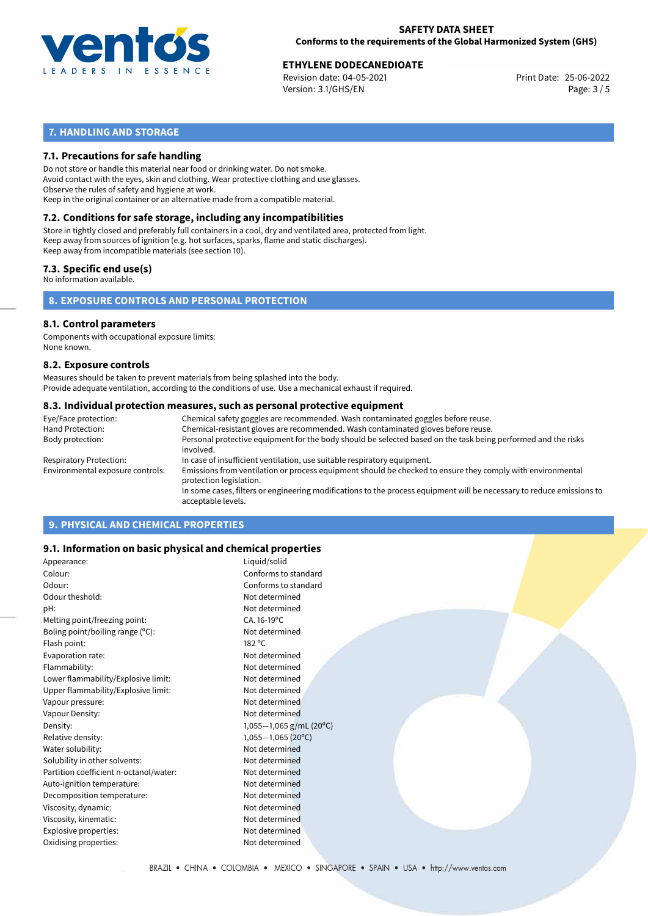

# **ETHYLENE DODECANEDIOATE**<br>
Revision date: 04-05-2021<br> **EXECUTE:** Print Date: 25-06-2022

Revision date: 04-05-2021 Version: 3.1/GHS/EN Page: 3 / 5

## **7. HANDLING AND STORAGE**

## **7.1. Precautions for safe handling**

Do not store or handle this material near food or drinking water. Do not smoke. Avoid contact with the eyes, skin and clothing. Wear protective clothing and use glasses. Observe the rules of safety and hygiene at work. Keep in the original container or an alternative made from a compatible material.

# **7.2. Conditions for safe storage, including any incompatibilities**

Store in tightly closed and preferably full containers in a cool, dry and ventilated area, protected from light. Keep away from sources of ignition (e.g. hot surfaces, sparks, flame and static discharges). Keep away from incompatible materials (see section 10).

## **7.3. Specific end use(s)**

No information available.

## **8. EXPOSURE CONTROLS AND PERSONAL PROTECTION**

#### **8.1. Control parameters**

Components with occupational exposure limits: None known.

#### **8.2. Exposure controls**

Measures should be taken to prevent materials from being splashed into the body. Provide adequate ventilation, according to the conditions of use. Use a mechanical exhaust if required.

#### **8.3. Individual protection measures, such as personal protective equipment**

| Eye/Face protection:             | Chemical safety goggles are recommended. Wash contaminated goggles before reuse.                                                            |  |  |  |  |
|----------------------------------|---------------------------------------------------------------------------------------------------------------------------------------------|--|--|--|--|
| Hand Protection:                 | Chemical-resistant gloves are recommended. Wash contaminated gloves before reuse.                                                           |  |  |  |  |
| Body protection:                 | Personal protective equipment for the body should be selected based on the task being performed and the risks<br>involved.                  |  |  |  |  |
| Respiratory Protection:          | In case of insufficient ventilation, use suitable respiratory equipment.                                                                    |  |  |  |  |
| Environmental exposure controls: | Emissions from ventilation or process equipment should be checked to ensure they comply with environmental<br>protection legislation.       |  |  |  |  |
|                                  | In some cases, filters or engineering modifications to the process equipment will be necessary to reduce emissions to<br>acceptable levels. |  |  |  |  |
|                                  |                                                                                                                                             |  |  |  |  |

## **9. PHYSICAL AND CHEMICAL PROPERTIES**

## **9.1. Information on basic physical and chemical properties**

| Appearance:                            | Liquid/solid            |
|----------------------------------------|-------------------------|
| Colour:                                | Conforms to standard    |
| Odour:                                 | Conforms to standard    |
| Odour theshold:                        | Not determined          |
| pH:                                    | Not determined          |
| Melting point/freezing point:          | $CA.16-19°C$            |
| Boling point/boiling range $(°C)$ :    | Not determined          |
| Flash point:                           | 182 °C                  |
| Evaporation rate:                      | Not determined          |
| Flammability:                          | Not determined          |
| Lower flammability/Explosive limit:    | Not determined          |
| Upper flammability/Explosive limit:    | Not determined          |
| Vapour pressure:                       | Not determined          |
| Vapour Density:                        | Not determined          |
| Density:                               | 1,055-1,065 g/mL (20°C) |
| Relative density:                      | $1,055-1,065(20°C)$     |
| Water solubility:                      | Not determined          |
| Solubility in other solvents:          | Not determined          |
| Partition coefficient n-octanol/water: | Not determined          |
| Auto-ignition temperature:             | Not determined          |
| Decomposition temperature:             | Not determined          |
| Viscosity, dynamic:                    | Not determined          |
| Viscosity, kinematic:                  | Not determined          |
| Explosive properties:                  | Not determined          |
| Oxidising properties:                  | Not determined          |
|                                        |                         |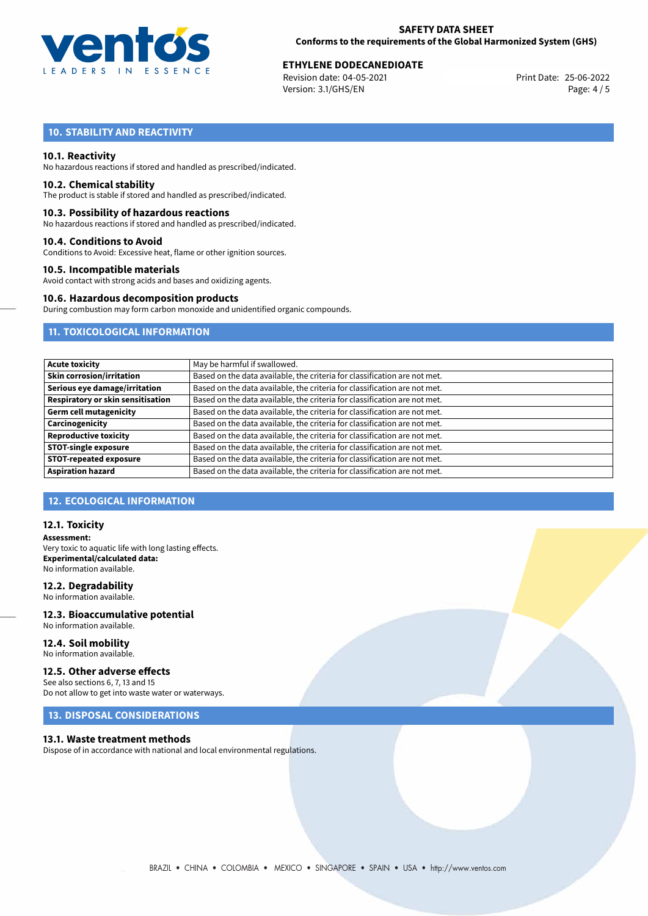

# **ETHYLENE DODECANEDIOATE**<br>
Revision date: 04-05-2021<br> **EXECUTE:** Print Date: 25-06-2022

Revision date: 04-05-2021 Version: 3.1/GHS/EN Page: 4 / 5

## **10. STABILITY AND REACTIVITY**

### **10.1. Reactivity**

No hazardous reactions if stored and handled as prescribed/indicated.

#### **10.2. Chemical stability**

The product is stable if stored and handled as prescribed/indicated.

#### **10.3. Possibility of hazardous reactions**

No hazardous reactions if stored and handled as prescribed/indicated.

#### **10.4. Conditions to Avoid**

Conditions to Avoid: Excessive heat, flame or other ignition sources.

#### **10.5. Incompatible materials**

Avoid contact with strong acids and bases and oxidizing agents.

## **10.6. Hazardous decomposition products**

During combustion may form carbon monoxide and unidentified organic compounds.

## **11. TOXICOLOGICAL INFORMATION**

| <b>Acute toxicity</b>             | May be harmful if swallowed.                                              |
|-----------------------------------|---------------------------------------------------------------------------|
| <b>Skin corrosion/irritation</b>  | Based on the data available, the criteria for classification are not met. |
| Serious eye damage/irritation     | Based on the data available, the criteria for classification are not met. |
| Respiratory or skin sensitisation | Based on the data available, the criteria for classification are not met. |
| <b>Germ cell mutagenicity</b>     | Based on the data available, the criteria for classification are not met. |
| Carcinogenicity                   | Based on the data available, the criteria for classification are not met. |
| <b>Reproductive toxicity</b>      | Based on the data available, the criteria for classification are not met. |
| <b>STOT-single exposure</b>       | Based on the data available, the criteria for classification are not met. |
| <b>STOT-repeated exposure</b>     | Based on the data available, the criteria for classification are not met. |
| <b>Aspiration hazard</b>          | Based on the data available, the criteria for classification are not met. |

## **12. ECOLOGICAL INFORMATION**

#### **12.1. Toxicity**

**Assessment:** Very toxic to aquatic life with long lasting effects. **Experimental/calculated data:** No information available.

### **12.2. Degradability**

No information available.

#### **12.3. Bioaccumulative potential** No information available.

**12.4. Soil mobility** No information available.

## **12.5. Other adverse effects**

See also sections 6, 7, 13 and 15 Do not allow to get into waste water or waterways.

## **13. DISPOSAL CONSIDERATIONS**

#### **13.1. Waste treatment methods**

Dispose of in accordance with national and local environmental regulations.